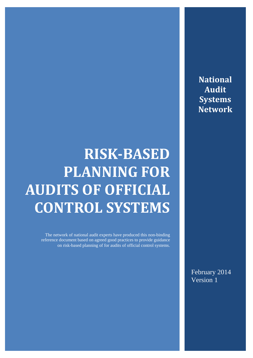**National Audit Systems Network**

# **RISK-BASED PLANNING FOR AUDITS OF OFFICIAL CONTROL SYSTEMS**

The network of national audit experts have produced this non-binding reference document based on agreed good practices to provide guidance on risk-based planning of for audits of official control systems.

> February 2014 Version 1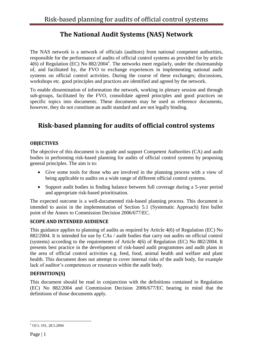## **The National Audit Systems (NAS) Network**

The NAS network is a network of officials (auditors) from national competent authorities, responsible for the performance of audits of official control systems as provided for by article  $4(6)$  of Regulation (EC) No  $882/2004<sup>1</sup>$ . The networks meet regularly, under the chairmanship of, and facilitated by, the FVO to exchange experiences in implementing national audit systems on official control activities. During the course of these exchanges; discussions, workshops etc. good principles and practices are identified and agreed by the network.

To enable dissemination of information the network, working in plenary session and through sub-groups, facilitated by the FVO, consolidate agreed principles and good practices on specific topics into documents. These documents may be used as reference documents, however, they do not constitute an audit standard and are not legally binding.

## **Risk-based planning for audits of official control systems**

#### **OBJECTIVES**

The objective of this document is to guide and support Competent Authorities (CA) and audit bodies in performing risk-based planning for audits of official control systems by proposing general principles. The aim is to:

- Give some tools for those who are involved in the planning process with a view of being applicable to audits on a wide range of different official control systems.
- Support audit bodies in finding balance between full coverage during a 5-year period and appropriate risk-based prioritisation.

The expected outcome is a well-documented risk-based planning process. This document is intended to assist in the implementation of Section 5.1 (Systematic Approach) first bullet point of the Annex to Commission Decision 2006/677/EC.

#### **SCOPE AND INTENDED AUDIENCE**

This guidance applies to planning of audits as required by Article 4(6) of Regulation (EC) No 882/2004. It is intended for use by CAs / audit bodies that carry out audits on official control (systems) according to the requirements of Article 4(6) of Regulation (EC) No 882/2004. It presents best practice in the development of risk-based audit programmes and audit plans in the area of official control activities e.g. feed, food, animal health and welfare and plant health. This document does not attempt to cover internal risks of the audit body, for example lack of auditor's competences or resources within the audit body.

#### **DEFINITION(S)**

This document should be read in conjunction with the definitions contained in Regulation (EC) No 882/2004 and Commission Decision 2006/677/EC bearing in mind that the definitions of those documents apply.

<sup>1</sup> <sup>1</sup> OJ L 191, 28.5.2004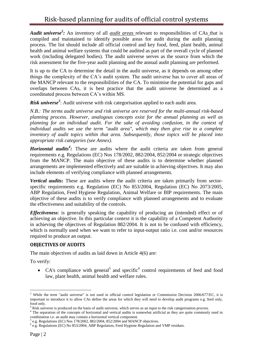*Audit universe***<sup>2</sup>** *:* An inventory of all *audit areas* relevant to responsibilities of CAs that is compiled and maintained to identify possible areas for audit during the audit planning process. The list should include all official control and key food, feed, plant health, animal health and animal welfare systems that could be audited as part of the overall cycle of planned work (including delegated bodies). The audit universe serves as the source from which the risk assessment for the five-year audit planning and the annual audit planning are performed.

It is up to the CA to determine the detail in the audit universe, as it depends on among other things the complexity of the CA's audit system. The audit universe has to cover all areas of the MANCP relevant to the responsibilities of the CA. To minimise the potential for gaps and overlaps between CAs, it is best practice that the audit universe be determined as a coordinated process between CA's within MS.

*Risk universe<sup>3</sup>* : Audit universe with risk categorisation applied to each audit area.

*N.B.: The terms audit universe and risk universe are reserved for the multi-annual risk-based planning process. However, analogous concepts exist for the annual planning as well as planning for an individual audit. For the sake of avoiding confusion, in the context of individual audits we use the term "audit area", which may then give rise to a complete inventory of audit topics within that area. Subsequently, those topics will be placed into appropriate risk categories (see Annex)*.

*Horizontal audits<sup>4</sup>*: These are audits where the audit criteria are taken from general requirements e.g. Regulations (EC) Nos 178/2002, 882/2004, 852/2004 or strategic objectives from the MANCP. The main objective of these audits is to determine whether planned arrangements are implemented effectively and are suitable in achieving objectives. It may also include elements of verifying compliance with planned arrangements.

**Vertical audits**: These are audits where the audit criteria are taken primarily from sectorspecific requirements e.g. Regulation (EC) No 853/2004, Regulation (EC) No 2073/2005, ABP Regulation, Feed Hygiene Regulation, Animal Welfare or BIP requirements. The main objective of these audits is to verify compliance with planned arrangements and to evaluate the effectiveness and suitability of the controls.

*Effectiveness*: is generally speaking the capability of producing an (intended) effect or of achieving an objective. In this particular context it is the capability of a Competent Authority in achieving the objectives of Regulation 882/2004. It is not to be confused with efficiency, which is normally used when we want to refer to input-output ratio i.e. cost and/or resources required to produce an output.

#### **OBJECTIVES OF AUDITS**

The main objectives of audits as laid down in Article 4(6) are:

To verify:

1

• CA's compliance with general<sup>5</sup> and specific<sup>6</sup> control requirements of feed and food law, plant health, animal health and welfare rules.

<sup>&</sup>lt;sup>2</sup> While the term "audit universe" is not used in official control legislation or Commission Decision 2006/677/EC, it is important to introduce it to allow CAs define the areas for which they will need to develop audit programs e.g. feed only, food only.

 $\beta$  Risk universe is produced on the basis of audit universe, which serves as an input to the risk categorisation process.

<sup>&</sup>lt;sup>4</sup> The separation of the concepts of horizontal and vertical audits is somewhat artificial as they are quite commonly used in combination i.e. an audit may contain a horizontal vertical component.

<sup>5</sup> e.g. Regulations (EC) Nos 178/2002, 882/2004, 852/2004 and MANCP objectives.

<sup>&</sup>lt;sup>6</sup> e.g. Regulations (EC) No 853/2004, ABP Regulation, Feed Hygiene Regulation and VMP residues.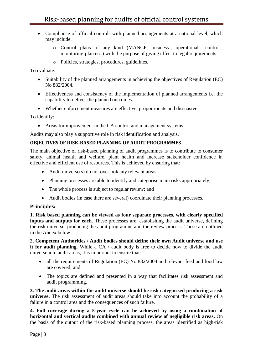- Compliance of official controls with planned arrangements at a national level, which may include:
	- o Control plans of any kind (MANCP, business-, operational-, control-, monitoring-plan etc.) with the purpose of giving effect to legal requirements.
	- o Policies, strategies, procedures, guidelines.

To evaluate:

- Suitability of the planned arrangements in achieving the objectives of Regulation (EC) No 882/2004.
- Effectiveness and consistency of the implementation of planned arrangements i.e. the capability to deliver the planned outcomes.
- Whether enforcement measures are effective, proportionate and dissuasive.

To identify:

Areas for improvement in the CA control and management systems.

Audits may also play a supportive role in risk identification and analysis.

#### **OBJECTIVES OF RISK-BASED PLANNING OF AUDIT PROGRAMMES**

The main objective of risk-based planning of audit programmes is to contribute to consumer safety, animal health and welfare, plant health and increase stakeholder confidence in effective and efficient use of resources. This is achieved by ensuring that:

- Audit universe(s) do not overlook any relevant areas;
- Planning processes are able to identify and categorise main risks appropriately;
- The whole process is subject to regular review; and
- Audit bodies (in case there are several) coordinate their planning processes.

#### **Principles:**

**1. Risk based planning can be viewed as four separate processes, with clearly specified inputs and outputs for each.** These processes are: establishing the audit universe, defining the risk universe, producing the audit programme and the review process. These are outlined in the Annex below.

**2. Competent Authorities / Audit bodies should define their own Audit universe and use it for audit planning.** While a CA / audit body is free to decide how to divide the audit universe into audit areas, it is important to ensure that:

- all the requirements of Regulation (EC) No 882/2004 and relevant feed and food law are covered; and
- The topics are defined and presented in a way that facilitates risk assessment and audit programming.

**3. The audit areas within the audit universe should be risk categorised producing a risk universe.** The risk assessment of audit areas should take into account the probability of a failure in a control area and the consequences of such failure.

**4. Full coverage during a 5-year cycle can be achieved by using a combination of horizontal and vertical audits combined with annual review of negligible risk areas.** On the basis of the output of the risk-based planning process, the areas identified as high-risk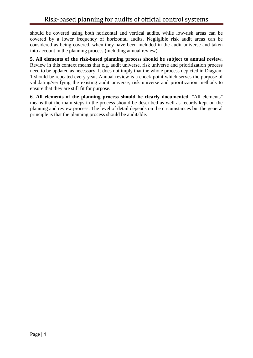should be covered using both horizontal and vertical audits, while low-risk areas can be covered by a lower frequency of horizontal audits. Negligible risk audit areas can be considered as being covered, when they have been included in the audit universe and taken into account in the planning process (including annual review).

**5. All elements of the risk-based planning process should be subject to annual review.** Review in this context means that e.g. audit universe, risk universe and prioritization process need to be updated as necessary. It does not imply that the whole process depicted in Diagram 1 should be repeated every year. Annual review is a check-point which serves the purpose of validating/verifying the existing audit universe, risk universe and prioritization methods to ensure that they are still fit for purpose.

**6. All elements of the planning process should be clearly documented.** "All elements" means that the main steps in the process should be described as well as records kept on the planning and review process. The level of detail depends on the circumstances but the general principle is that the planning process should be auditable.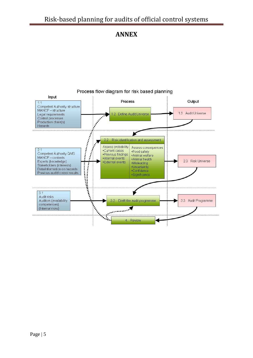## **ANNEX**



### Process flow diagram for risk based planning